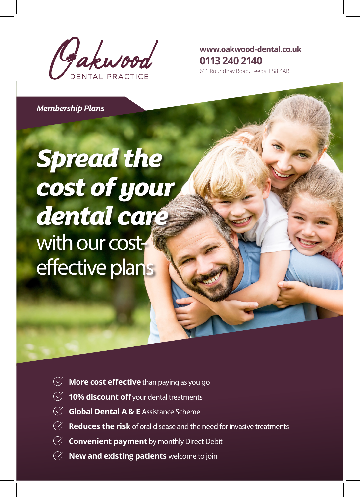Gakwood

**www.oakwood-dental.co.uk 0113 240 2140**

611 Roundhay Road, Leeds. LS8 4AR

*Membership Plans*

## *Spread the cost of your dental care* with our costeffective plans

- $\heartsuit$  **More cost effective** than paying as you go
- **10% discount off** your dental treatments
- **Global Dental A & E** Assistance Scheme
- **Reduces the risk** of oral disease and the need for invasive treatments
- **Convenient payment** by monthly Direct Debit
- **New and existing patients** welcome to join